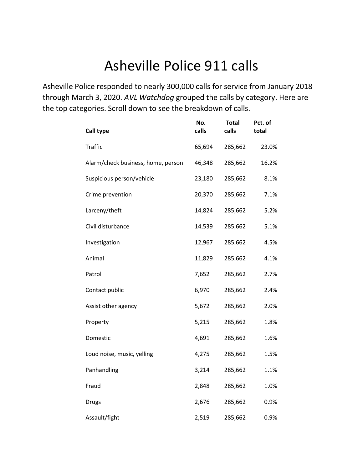# Asheville Police 911 calls

Asheville Police responded to nearly 300,000 calls for service from January 2018 through March 3, 2020. *AVL Watchdog* grouped the calls by category. Here are the top categories. Scroll down to see the breakdown of calls.

| <b>Call type</b>                   | No.<br>calls | <b>Total</b><br>calls | Pct. of<br>total |
|------------------------------------|--------------|-----------------------|------------------|
| <b>Traffic</b>                     | 65,694       | 285,662               | 23.0%            |
| Alarm/check business, home, person | 46,348       | 285,662               | 16.2%            |
| Suspicious person/vehicle          | 23,180       | 285,662               | 8.1%             |
| Crime prevention                   | 20,370       | 285,662               | 7.1%             |
| Larceny/theft                      | 14,824       | 285,662               | 5.2%             |
| Civil disturbance                  | 14,539       | 285,662               | 5.1%             |
| Investigation                      | 12,967       | 285,662               | 4.5%             |
| Animal                             | 11,829       | 285,662               | 4.1%             |
| Patrol                             | 7,652        | 285,662               | 2.7%             |
| Contact public                     | 6,970        | 285,662               | 2.4%             |
| Assist other agency                | 5,672        | 285,662               | 2.0%             |
| Property                           | 5,215        | 285,662               | 1.8%             |
| Domestic                           | 4,691        | 285,662               | 1.6%             |
| Loud noise, music, yelling         | 4,275        | 285,662               | 1.5%             |
| Panhandling                        | 3,214        | 285,662               | 1.1%             |
| Fraud                              | 2,848        | 285,662               | 1.0%             |
| <b>Drugs</b>                       | 2,676        | 285,662               | 0.9%             |
| Assault/fight                      | 2,519        | 285,662               | 0.9%             |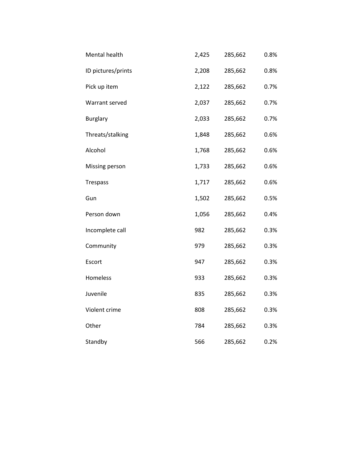| Mental health      | 2,425 | 285,662 | 0.8% |
|--------------------|-------|---------|------|
| ID pictures/prints | 2,208 | 285,662 | 0.8% |
| Pick up item       | 2,122 | 285,662 | 0.7% |
| Warrant served     | 2,037 | 285,662 | 0.7% |
| <b>Burglary</b>    | 2,033 | 285,662 | 0.7% |
| Threats/stalking   | 1,848 | 285,662 | 0.6% |
| Alcohol            | 1,768 | 285,662 | 0.6% |
| Missing person     | 1,733 | 285,662 | 0.6% |
| <b>Trespass</b>    | 1,717 | 285,662 | 0.6% |
| Gun                | 1,502 | 285,662 | 0.5% |
| Person down        | 1,056 | 285,662 | 0.4% |
| Incomplete call    | 982   | 285,662 | 0.3% |
| Community          | 979   | 285,662 | 0.3% |
| Escort             | 947   | 285,662 | 0.3% |
| Homeless           | 933   | 285,662 | 0.3% |
| Juvenile           | 835   | 285,662 | 0.3% |
| Violent crime      | 808   | 285,662 | 0.3% |
| Other              | 784   | 285,662 | 0.3% |
| Standby            | 566   | 285,662 | 0.2% |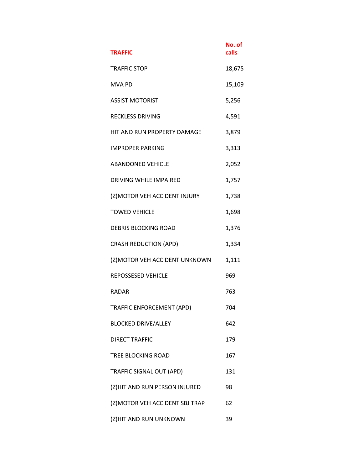| <b>TRAFFIC</b>                  | No. of<br>calls |
|---------------------------------|-----------------|
| <b>TRAFFIC STOP</b>             | 18,675          |
| <b>MVA PD</b>                   | 15,109          |
| <b>ASSIST MOTORIST</b>          | 5,256           |
| <b>RECKLESS DRIVING</b>         | 4,591           |
| HIT AND RUN PROPERTY DAMAGE     | 3,879           |
| <b>IMPROPER PARKING</b>         | 3,313           |
| <b>ABANDONED VEHICLE</b>        | 2,052           |
| DRIVING WHILE IMPAIRED          | 1,757           |
| (Z) MOTOR VEH ACCIDENT INJURY   | 1,738           |
| <b>TOWED VEHICLE</b>            | 1,698           |
| <b>DEBRIS BLOCKING ROAD</b>     | 1,376           |
| <b>CRASH REDUCTION (APD)</b>    | 1,334           |
| (Z) MOTOR VEH ACCIDENT UNKNOWN  | 1,111           |
| REPOSSESED VEHICLE              | 969             |
| <b>RADAR</b>                    | 763             |
| TRAFFIC ENFORCEMENT (APD)       | 704             |
| <b>BLOCKED DRIVE/ALLEY</b>      | 642             |
| <b>DIRECT TRAFFIC</b>           | 179             |
| TREE BLOCKING ROAD              | 167             |
| TRAFFIC SIGNAL OUT (APD)        | 131             |
| (Z)HIT AND RUN PERSON INJURED   | 98              |
| (Z) MOTOR VEH ACCIDENT SBJ TRAP | 62              |
| (Z)HIT AND RUN UNKNOWN          | 39              |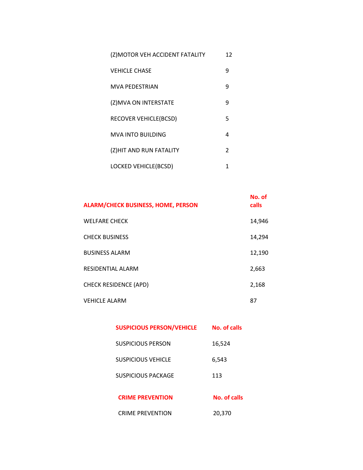| (Z) MOTOR VEH ACCIDENT FATALITY | 12            |
|---------------------------------|---------------|
| <b>VEHICLE CHASE</b>            | 9             |
| <b>MVA PEDESTRIAN</b>           | 9             |
| (Z)MVA ON INTERSTATE            | q             |
| RECOVER VEHICLE(BCSD)           | 5             |
| MVA INTO BUILDING               | 4             |
| (Z)HIT AND RUN FATALITY         | $\mathcal{P}$ |
| LOCKED VEHICLE(BCSD)            | 1             |

| <b>ALARM/CHECK BUSINESS, HOME, PERSON</b> | No. of<br>calls |
|-------------------------------------------|-----------------|
| <b>WELFARE CHECK</b>                      | 14,946          |
| <b>CHECK BUSINESS</b>                     | 14,294          |
| <b>BUSINESS ALARM</b>                     | 12,190          |
| RESIDENTIAL ALARM                         | 2,663           |
| <b>CHECK RESIDENCE (APD)</b>              | 2,168           |
| <b>VEHICLE ALARM</b>                      | 87              |

| <b>SUSPICIOUS PERSON/VEHICLE</b> | No. of calls |
|----------------------------------|--------------|
| SUSPICIOUS PERSON                | 16,524       |
| SUSPICIOUS VEHICLE               | 6,543        |
| <b>SUSPICIOUS PACKAGE</b>        | 113          |
| <b>CRIME PREVENTION</b>          | No. of calls |
| <b>CRIME PREVENTION</b>          | 20,370       |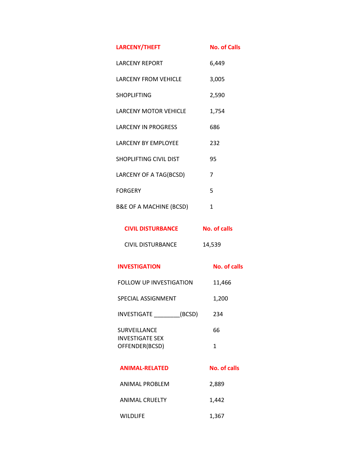| <b>LARCENY/THEFT</b>                          | <b>No. of Calls</b> |
|-----------------------------------------------|---------------------|
| <b>LARCENY REPORT</b>                         | 6,449               |
| <b>LARCENY FROM VEHICLE</b>                   | 3,005               |
| <b>SHOPLIFTING</b>                            | 2,590               |
| <b>LARCENY MOTOR VEHICLE</b>                  | 1,754               |
| <b>LARCENY IN PROGRESS</b>                    | 686                 |
| <b>LARCENY BY EMPLOYEE</b>                    | 232                 |
| <b>SHOPLIFTING CIVIL DIST</b>                 | 95                  |
| LARCENY OF A TAG(BCSD)                        | 7                   |
| <b>FORGERY</b>                                | 5                   |
| <b>B&amp;E OF A MACHINE (BCSD)</b>            | 1                   |
| <b>CIVIL DISTURBANCE</b>                      | <b>No. of calls</b> |
| <b>CIVIL DISTURBANCE</b>                      | 14,539              |
| <b>INVESTIGATION</b>                          | <b>No. of calls</b> |
| <b>FOLLOW UP INVESTIGATION</b>                | 11,466              |
| SPECIAL ASSIGNMENT                            | 1,200               |
| INVESTIGATE (BCSD)                            | 234                 |
| <b>SURVEILLANCE</b><br><b>INVESTIGATE SEX</b> | 66                  |
| OFFENDER(BCSD)                                | 1                   |

| <b>ANIMAL-RELATED</b> | No. of calls |
|-----------------------|--------------|
| ANIMAL PROBLEM        | 2.889        |
| ANIMAL CRUELTY        | 1.442        |
| <b>WILDLIFE</b>       | 1,367        |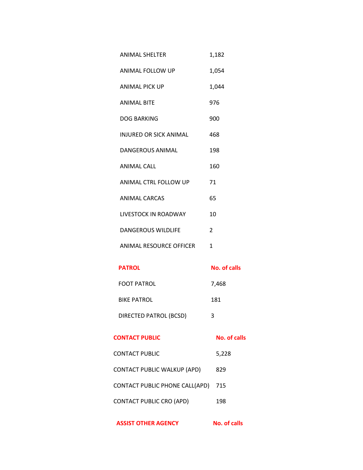- ANIMAL FOLLOW UP 1,054
- ANIMAL PICK UP 1,044
- ANIMAL BITE 976
- DOG BARKING 900
- INJURED OR SICK ANIMAL 468
- DANGEROUS ANIMAL 198
- ANIMAL CALL 160
- ANIMAL CTRL FOLLOW UP 71
- ANIMAL CARCAS 65
- LIVESTOCK IN ROADWAY 10
- DANGEROUS WILDLIFE 2
- ANIMAL RESOURCE OFFICER 1

### **PATROL No. of calls**

FOOT PATROL 7,468 BIKE PATROL 181 DIRECTED PATROL (BCSD) 3

### **CONTACT PUBLIC No. of calls**

- CONTACT PUBLIC 5,228 CONTACT PUBLIC WALKUP (APD) 829 CONTACT PUBLIC PHONE CALL(APD) 715
- CONTACT PUBLIC CRO (APD) 198

**ASSIST OTHER AGENCY No. of calls**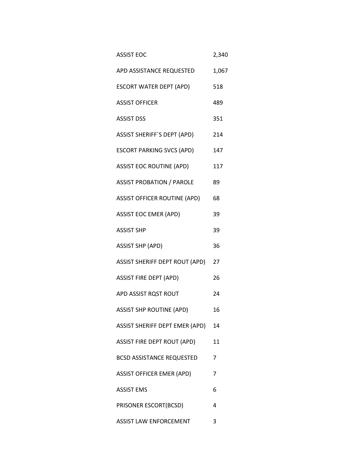| <b>ASSIST EOC</b>                 | 2,340 |
|-----------------------------------|-------|
| APD ASSISTANCE REQUESTED          | 1,067 |
| ESCORT WATER DEPT (APD)           | 518   |
| <b>ASSIST OFFICER</b>             | 489   |
| <b>ASSIST DSS</b>                 | 351   |
| ASSIST SHERIFF`S DEPT (APD)       | 214   |
| ESCORT PARKING SVCS (APD)         | 147   |
| ASSIST EOC ROUTINE (APD)          | 117   |
| ASSIST PROBATION / PAROLE 89      |       |
| ASSIST OFFICER ROUTINE (APD)      | 68    |
| <b>ASSIST EOC EMER (APD)</b>      | 39    |
| <b>ASSIST SHP</b>                 | 39    |
| <b>ASSIST SHP (APD)</b>           | 36    |
| ASSIST SHERIFF DEPT ROUT (APD) 27 |       |
| <b>ASSIST FIRE DEPT (APD)</b>     | 26    |
| APD ASSIST RQST ROUT              | 24    |
| <b>ASSIST SHP ROUTINE (APD)</b>   | 16    |
| ASSIST SHERIFF DEPT EMER (APD)    | 14    |
| ASSIST FIRE DEPT ROUT (APD)       | 11    |
| <b>BCSD ASSISTANCE REQUESTED</b>  | 7     |
| <b>ASSIST OFFICER EMER (APD)</b>  | 7     |
| <b>ASSIST EMS</b>                 | 6     |
| PRISONER ESCORT(BCSD)             | 4     |
| ASSIST LAW ENFORCEMENT            | 3     |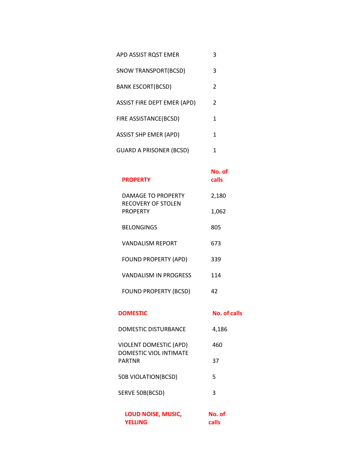| APD ASSIST ROST EMER               |   |
|------------------------------------|---|
| SNOW TRANSPORT(BCSD)               | 3 |
| <b>BANK ESCORT(BCSD)</b>           | 2 |
| <b>ASSIST FIRE DEPT EMER (APD)</b> | 2 |
| FIRE ASSISTANCE(BCSD)              | 1 |
| <b>ASSIST SHP EMER (APD)</b>       |   |
| <b>GUARD A PRISONER (BCSD)</b>     |   |

### **No. of calls**

| <b>PROPERTY</b>                          | calls |
|------------------------------------------|-------|
| DAMAGE TO PROPERTY<br>RECOVERY OF STOLEN | 2,180 |
| <b>PROPERTY</b>                          | 1,062 |
| <b>BELONGINGS</b>                        | 805   |
| VANDALISM REPORT                         | 673   |
| <b>FOUND PROPERTY (APD)</b>              | 339   |
| VANDALISM IN PROGRESS                    | 114   |
| <b>FOUND PROPERTY (BCSD)</b>             | 42    |

| <b>DOMESTIC</b> | <b>No. of calls</b> |
|-----------------|---------------------|
|                 |                     |

| <b>DOMESTIC DISTURBANCE</b>             | 4,186 |
|-----------------------------------------|-------|
| <b>VIOLENT DOMESTIC (APD)</b>           | 460   |
| DOMESTIC VIOL INTIMATE<br><b>PARTNR</b> | 37    |
| 50B VIOLATION(BCSD)                     | 5     |
| SERVE 50B(BCSD)                         | 3     |
|                                         |       |

| LOUD NOISE, MUSIC, | No. of |
|--------------------|--------|
| <b>YELLING</b>     | calls  |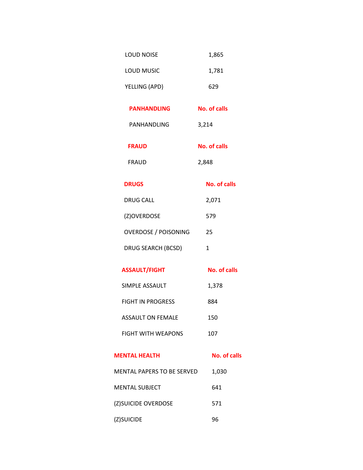| <b>LOUD NOISE</b>           | 1,865               |
|-----------------------------|---------------------|
| LOUD MUSIC                  | 1,781               |
| YELLING (APD)               | 629                 |
| <b>PANHANDLING</b>          | <b>No. of calls</b> |
| PANHANDLING                 | 3,214               |
| <b>FRAUD</b>                | <b>No. of calls</b> |
| <b>FRAUD</b>                | 2,848               |
| <b>DRUGS</b>                | No. of calls        |
| <b>DRUG CALL</b>            | 2,071               |
| (Z)OVERDOSE                 | 579                 |
| <b>OVERDOSE / POISONING</b> | 25                  |
| DRUG SEARCH (BCSD)          | $\mathbf{1}$        |
| <b>ASSAULT/FIGHT</b>        | <b>No. of calls</b> |
| SIMPLE ASSAULT              | 1,378               |
| <b>FIGHT IN PROGRESS</b>    | 884                 |
| <b>ASSAULT ON FEMALE</b>    | 150                 |
| <b>FIGHT WITH WEAPONS</b>   | 107                 |

## **MENTAL HEALTH No. of calls**

MENTAL PAPERS TO BE SERVED 1,030 MENTAL SUBJECT 641 (Z)SUICIDE OVERDOSE 571 (Z)SUICIDE 96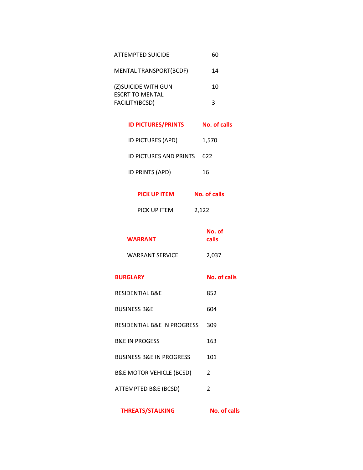| ATTEMPTED SUICIDE                              | 60 |
|------------------------------------------------|----|
| <b>MENTAL TRANSPORT(BCDF)</b>                  | 14 |
| (Z) SUICIDE WITH GUN<br><b>ESCRT TO MENTAL</b> | 10 |
| FACILITY(BCSD)                                 | ર  |

| <b>ID PICTURES/PRINTS</b>     | No. of calls |  |
|-------------------------------|--------------|--|
| <b>ID PICTURES (APD)</b>      | 1,570        |  |
| <b>ID PICTURES AND PRINTS</b> | 622          |  |
| ID PRINTS (APD)               | 16           |  |

| PICK UP ITEM | 2,122 |
|--------------|-------|
|--------------|-------|

| <b>WARRANT</b>  | No. of<br>calls |
|-----------------|-----------------|
| WARRANT SERVICE | 2,037           |

| <b>BURGLARY</b> | No. of calls |
|-----------------|--------------|
|-----------------|--------------|

- 
- RESIDENTIAL B&E 852 BUSINESS B&E 604 RESIDENTIAL B&E IN PROGRESS 309 B&E IN PROGESS 163 BUSINESS B&E IN PROGRESS 101
- B&E MOTOR VEHICLE (BCSD) 2

ATTEMPTED B&E (BCSD)

**THREATS/STALKING No. of calls**

2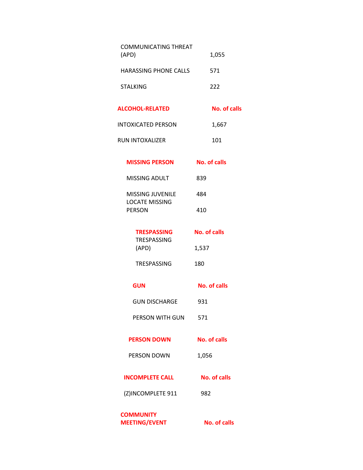| <b>COMMUNICATING THREAT</b><br>(APD)                              | 1,055               |
|-------------------------------------------------------------------|---------------------|
| <b>HARASSING PHONE CALLS</b>                                      | 571                 |
| <b>STALKING</b>                                                   | 222                 |
| <b>ALCOHOL-RELATED</b>                                            | <b>No. of calls</b> |
| <b>INTOXICATED PERSON</b>                                         | 1,667               |
| RUN INTOXALIZER                                                   | 101                 |
| <b>MISSING PERSON</b>                                             | No. of calls        |
| <b>MISSING ADULT</b>                                              | 839                 |
| <b>MISSING JUVENILE</b><br><b>LOCATE MISSING</b><br><b>PERSON</b> | 484                 |
|                                                                   | 410                 |
| <b>TRESPASSING</b><br><b>TRESPASSING</b>                          | <b>No. of calls</b> |
| (APD)                                                             | 1,537               |
| <b>TRESPASSING</b>                                                | 180                 |
| <b>GUN</b>                                                        | <b>No. of calls</b> |
| <b>GUN DISCHARGE</b>                                              | 931                 |
| PERSON WITH GUN                                                   | 571                 |
| <b>PERSON DOWN</b>                                                | <b>No. of calls</b> |
| PERSON DOWN                                                       | 1,056               |
| <b>INCOMPLETE CALL</b>                                            | No. of calls        |
| (Z)INCOMPLETE 911                                                 | 982                 |
| <b>COMMUNITY</b>                                                  |                     |

**MEETING/EVENT No. of calls**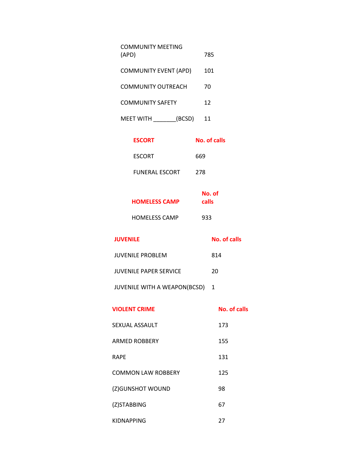| <b>COMMUNITY MEETING</b><br>(APD) |        | 785 |
|-----------------------------------|--------|-----|
| <b>COMMUNITY EVENT (APD)</b>      |        | 101 |
| COMMUNITY OUTREACH                |        | 70  |
| <b>COMMUNITY SAFETY</b>           |        | 12  |
| MFFT WITH                         | (BCSD) | 11  |

| <b>ESCORT</b>         | <b>No. of calls</b> |
|-----------------------|---------------------|
| <b>ESCORT</b>         | 669                 |
| <b>FUNERAL ESCORT</b> | 278                 |

| <b>HOMELESS CAMP</b> | No. of<br>calls |
|----------------------|-----------------|
| <b>HOMELESS CAMP</b> | 933             |

| <b>JUVENILE</b>                     | No. of calls |
|-------------------------------------|--------------|
| JUVENILE PROBLEM                    | 814          |
| JUVENILE PAPER SERVICE              | 20           |
| <b>JUVENILE WITH A WEAPON(BCSD)</b> |              |

| <b>No. of calls</b> |  |
|---------------------|--|
|                     |  |

- SEXUAL ASSAULT 173 155
- ARMED ROBBERY
- RAPE 131
- COMMON LAW ROBBERY 125

98

- (Z)GUNSHOT WOUND
- (Z)STABBING 67
- KIDNAPPING 27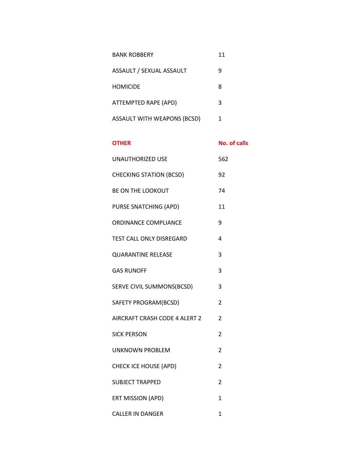| <b>BANK ROBBERY</b>                | 11 |
|------------------------------------|----|
| ASSAULT / SEXUAL ASSAULT           | q  |
| <b>HOMICIDE</b>                    | 8  |
| ATTEMPTED RAPE (APD)               | 3  |
| <b>ASSAULT WITH WEAPONS (BCSD)</b> | 1  |

## **OTHER No. of calls**

| <b>UNAUTHORIZED USE</b>        | 562            |
|--------------------------------|----------------|
| <b>CHECKING STATION (BCSD)</b> | 92             |
| <b>BE ON THE LOOKOUT</b>       | 74             |
| PURSE SNATCHING (APD)          | 11             |
| ORDINANCE COMPLIANCE           | 9              |
| TEST CALL ONLY DISREGARD       | 4              |
| <b>QUARANTINE RELEASE</b>      | 3              |
| <b>GAS RUNOFF</b>              | 3              |
| SERVE CIVIL SUMMONS(BCSD)      | 3              |
| SAFETY PROGRAM(BCSD)           | 2              |
| AIRCRAFT CRASH CODE 4 ALERT 2  | $\overline{2}$ |
| <b>SICK PERSON</b>             | 2              |
| <b>UNKNOWN PROBLEM</b>         | 2              |
| <b>CHECK ICE HOUSE (APD)</b>   | 2              |
| <b>SUBJECT TRAPPED</b>         | $\overline{2}$ |
| ERT MISSION (APD)              | $\mathbf{1}$   |
| <b>CALLER IN DANGER</b>        | $\mathbf{1}$   |